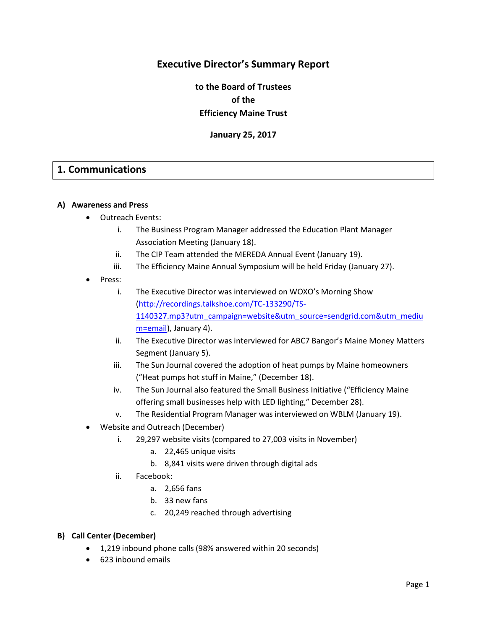# **Executive Director's Summary Report**

**to the Board of Trustees of the Efficiency Maine Trust**

**January 25, 2017**

# **1. Communications**

#### **A) Awareness and Press**

- Outreach Events:
	- i. The Business Program Manager addressed the Education Plant Manager Association Meeting (January 18).
	- ii. The CIP Team attended the MEREDA Annual Event (January 19).
	- iii. The Efficiency Maine Annual Symposium will be held Friday (January 27).
- Press:
	- i. The Executive Director was interviewed on WOXO's Morning Show [\(http://recordings.talkshoe.com/TC-133290/TS-](http://recordings.talkshoe.com/TC-133290/TS-1140327.mp3?utm_campaign=website&utm_source=sendgrid.com&utm_medium=email)[1140327.mp3?utm\\_campaign=website&utm\\_source=sendgrid.com&utm\\_mediu](http://recordings.talkshoe.com/TC-133290/TS-1140327.mp3?utm_campaign=website&utm_source=sendgrid.com&utm_medium=email) [m=email\)](http://recordings.talkshoe.com/TC-133290/TS-1140327.mp3?utm_campaign=website&utm_source=sendgrid.com&utm_medium=email), January 4).
	- ii. The Executive Director was interviewed for ABC7 Bangor's Maine Money Matters Segment (January 5).
	- iii. The Sun Journal covered the adoption of heat pumps by Maine homeowners ("Heat pumps hot stuff in Maine," (December 18).
	- iv. The Sun Journal also featured the Small Business Initiative ("Efficiency Maine offering small businesses help with LED lighting," December 28).
	- v. The Residential Program Manager was interviewed on WBLM (January 19).
- Website and Outreach (December)
	- i. 29,297 website visits (compared to 27,003 visits in November)
		- a. 22,465 unique visits
		- b. 8,841 visits were driven through digital ads
	- ii. Facebook:
		- a. 2,656 fans
		- b. 33 new fans
		- c. 20,249 reached through advertising

#### **B) Call Center (December)**

- 1,219 inbound phone calls (98% answered within 20 seconds)
- 623 inbound emails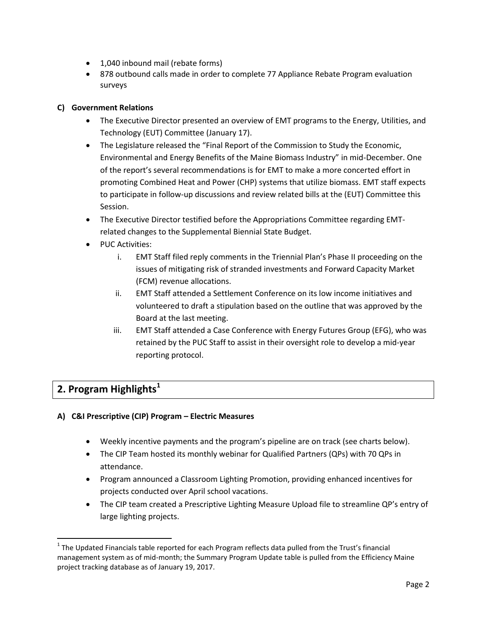- 1,040 inbound mail (rebate forms)
- 878 outbound calls made in order to complete 77 Appliance Rebate Program evaluation surveys

# **C) Government Relations**

- The Executive Director presented an overview of EMT programs to the Energy, Utilities, and Technology (EUT) Committee (January 17).
- The Legislature released the "Final Report of the Commission to Study the Economic, Environmental and Energy Benefits of the Maine Biomass Industry" in mid-December. One of the report's several recommendations is for EMT to make a more concerted effort in promoting Combined Heat and Power (CHP) systems that utilize biomass. EMT staff expects to participate in follow-up discussions and review related bills at the (EUT) Committee this Session.
- The Executive Director testified before the Appropriations Committee regarding EMTrelated changes to the Supplemental Biennial State Budget.
- PUC Activities:
	- i. EMT Staff filed reply comments in the Triennial Plan's Phase II proceeding on the issues of mitigating risk of stranded investments and Forward Capacity Market (FCM) revenue allocations.
	- ii. EMT Staff attended a Settlement Conference on its low income initiatives and volunteered to draft a stipulation based on the outline that was approved by the Board at the last meeting.
	- iii. EMT Staff attended a Case Conference with Energy Futures Group (EFG), who was retained by the PUC Staff to assist in their oversight role to develop a mid-year reporting protocol.

# **2. Program Highlights<sup>1</sup>**

 $\overline{\phantom{a}}$ 

# **A) C&I Prescriptive (CIP) Program – Electric Measures**

- Weekly incentive payments and the program's pipeline are on track (see charts below).
- The CIP Team hosted its monthly webinar for Qualified Partners (QPs) with 70 QPs in attendance.
- Program announced a Classroom Lighting Promotion, providing enhanced incentives for projects conducted over April school vacations.
- The CIP team created a Prescriptive Lighting Measure Upload file to streamline QP's entry of large lighting projects.

 $1$  The Updated Financials table reported for each Program reflects data pulled from the Trust's financial management system as of mid-month; the Summary Program Update table is pulled from the Efficiency Maine project tracking database as of January 19, 2017.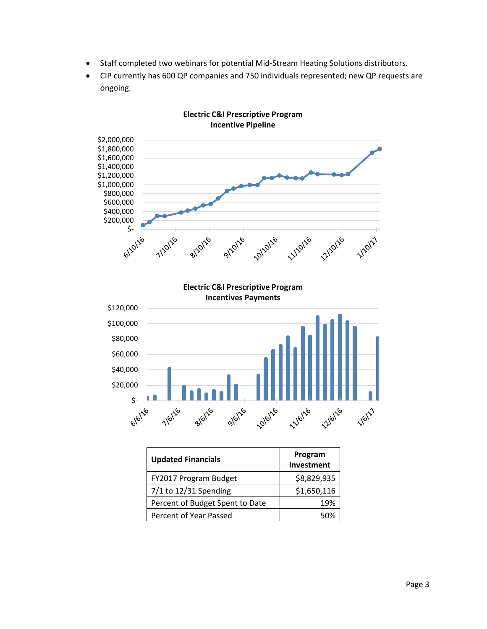- Staff completed two webinars for potential Mid-Stream Heating Solutions distributors.
- CIP currently has 600 QP companies and 750 individuals represented; new QP requests are ongoing.



**Electric C&I Prescriptive Program**

| <b>Updated Financials</b>       | Program<br>Investment |
|---------------------------------|-----------------------|
| FY2017 Program Budget           | \$8,829,935           |
| $7/1$ to 12/31 Spending         | \$1,650,116           |
| Percent of Budget Spent to Date | 19%                   |
| Percent of Year Passed          | 50%                   |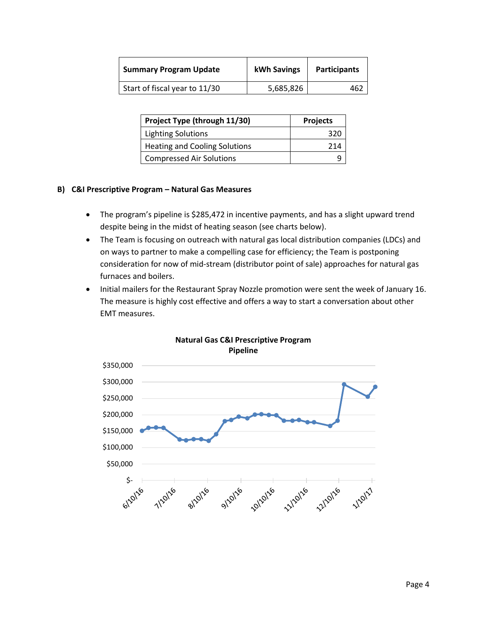| <b>Summary Program Update</b> | kWh Savings | <b>Participants</b> |
|-------------------------------|-------------|---------------------|
| Start of fiscal year to 11/30 | 5,685,826   |                     |

| Project Type (through 11/30)         | <b>Projects</b> |
|--------------------------------------|-----------------|
| <b>Lighting Solutions</b>            | ิ २ २ ೧         |
| <b>Heating and Cooling Solutions</b> | 214             |
| <b>Compressed Air Solutions</b>      |                 |

#### **B) C&I Prescriptive Program – Natural Gas Measures**

- The program's pipeline is \$285,472 in incentive payments, and has a slight upward trend despite being in the midst of heating season (see charts below).
- The Team is focusing on outreach with natural gas local distribution companies (LDCs) and on ways to partner to make a compelling case for efficiency; the Team is postponing consideration for now of mid-stream (distributor point of sale) approaches for natural gas furnaces and boilers.
- Initial mailers for the Restaurant Spray Nozzle promotion were sent the week of January 16. The measure is highly cost effective and offers a way to start a conversation about other EMT measures.



## **Natural Gas C&I Prescriptive Program Pipeline**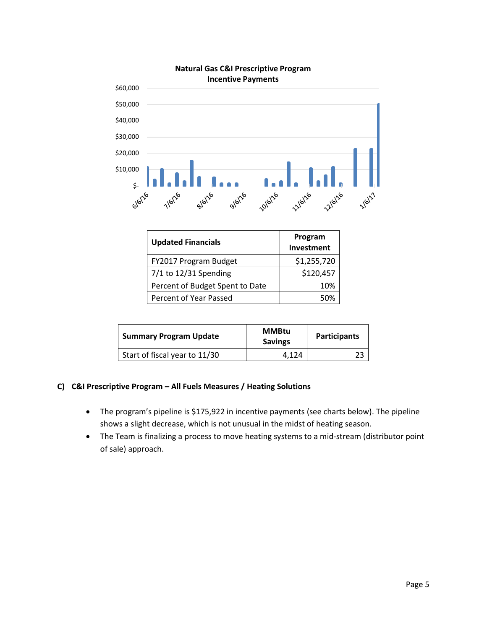

| <b>Updated Financials</b>       | Program<br>Investment |
|---------------------------------|-----------------------|
| FY2017 Program Budget           | \$1,255,720           |
| $7/1$ to 12/31 Spending         | \$120,457             |
| Percent of Budget Spent to Date | 10%                   |
| Percent of Year Passed          | 50%                   |

| <b>Summary Program Update</b> | <b>MMBtu</b><br><b>Savings</b> | <b>Participants</b> |
|-------------------------------|--------------------------------|---------------------|
| Start of fiscal year to 11/30 | 4.124                          |                     |

### **C) C&I Prescriptive Program – All Fuels Measures / Heating Solutions**

- The program's pipeline is \$175,922 in incentive payments (see charts below). The pipeline shows a slight decrease, which is not unusual in the midst of heating season.
- The Team is finalizing a process to move heating systems to a mid-stream (distributor point of sale) approach.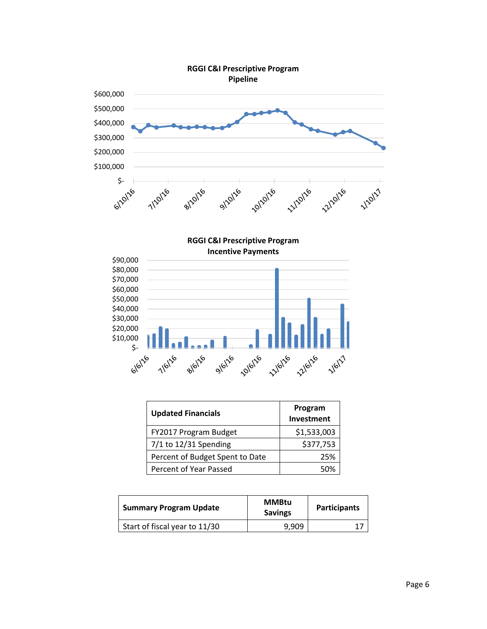

**RGGI C&I Prescriptive Program Incentive Payments**



| <b>Updated Financials</b>       | Program<br>Investment |
|---------------------------------|-----------------------|
| FY2017 Program Budget           | \$1,533,003           |
| $7/1$ to 12/31 Spending         | \$377,753             |
| Percent of Budget Spent to Date | 25%                   |
| Percent of Year Passed          | 5በ%                   |

| <b>Summary Program Update</b> | <b>MMBtu</b><br><b>Savings</b> | <b>Participants</b> |
|-------------------------------|--------------------------------|---------------------|
| Start of fiscal year to 11/30 | 9.909                          |                     |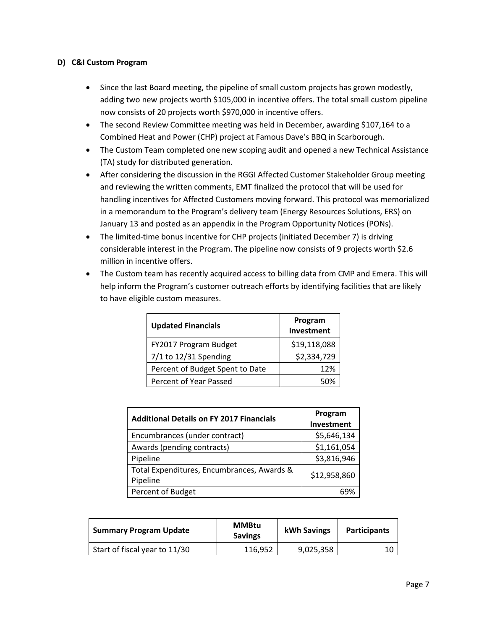### **D) C&I Custom Program**

- Since the last Board meeting, the pipeline of small custom projects has grown modestly, adding two new projects worth \$105,000 in incentive offers. The total small custom pipeline now consists of 20 projects worth \$970,000 in incentive offers.
- The second Review Committee meeting was held in December, awarding \$107,164 to a Combined Heat and Power (CHP) project at Famous Dave's BBQ in Scarborough.
- The Custom Team completed one new scoping audit and opened a new Technical Assistance (TA) study for distributed generation.
- After considering the discussion in the RGGI Affected Customer Stakeholder Group meeting and reviewing the written comments, EMT finalized the protocol that will be used for handling incentives for Affected Customers moving forward. This protocol was memorialized in a memorandum to the Program's delivery team (Energy Resources Solutions, ERS) on January 13 and posted as an appendix in the Program Opportunity Notices (PONs).
- The limited-time bonus incentive for CHP projects (initiated December 7) is driving considerable interest in the Program. The pipeline now consists of 9 projects worth \$2.6 million in incentive offers.
- The Custom team has recently acquired access to billing data from CMP and Emera. This will help inform the Program's customer outreach efforts by identifying facilities that are likely to have eligible custom measures.

| <b>Updated Financials</b>       | Program<br>Investment |
|---------------------------------|-----------------------|
| FY2017 Program Budget           | \$19,118,088          |
| $7/1$ to 12/31 Spending         | \$2,334,729           |
| Percent of Budget Spent to Date | 12%                   |
| Percent of Year Passed          | 50%                   |

| <b>Additional Details on FY 2017 Financials</b>        | Program<br>Investment |
|--------------------------------------------------------|-----------------------|
| Encumbrances (under contract)                          | \$5,646,134           |
| Awards (pending contracts)                             | \$1,161,054           |
| Pipeline                                               | \$3,816,946           |
| Total Expenditures, Encumbrances, Awards &<br>Pipeline | \$12,958,860          |
| Percent of Budget                                      |                       |

| <b>Summary Program Update</b> | <b>MMBtu</b><br><b>Savings</b> | kWh Savings | <b>Participants</b> |
|-------------------------------|--------------------------------|-------------|---------------------|
| Start of fiscal year to 11/30 | 116.952                        | 9,025,358   |                     |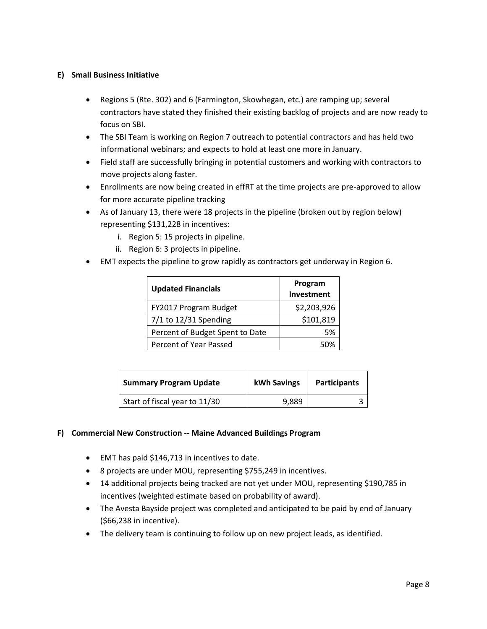## **E) Small Business Initiative**

- Regions 5 (Rte. 302) and 6 (Farmington, Skowhegan, etc.) are ramping up; several contractors have stated they finished their existing backlog of projects and are now ready to focus on SBI.
- The SBI Team is working on Region 7 outreach to potential contractors and has held two informational webinars; and expects to hold at least one more in January.
- Field staff are successfully bringing in potential customers and working with contractors to move projects along faster.
- Enrollments are now being created in effRT at the time projects are pre-approved to allow for more accurate pipeline tracking
- As of January 13, there were 18 projects in the pipeline (broken out by region below) representing \$131,228 in incentives:
	- i. Region 5: 15 projects in pipeline.
	- ii. Region 6: 3 projects in pipeline.
- EMT expects the pipeline to grow rapidly as contractors get underway in Region 6.

| <b>Updated Financials</b>       | Program<br>Investment |
|---------------------------------|-----------------------|
| FY2017 Program Budget           | \$2,203,926           |
| 7/1 to 12/31 Spending           | \$101,819             |
| Percent of Budget Spent to Date | .5%                   |
| Percent of Year Passed          | 5በ%                   |

| <b>Summary Program Update</b> | <b>kWh Savings</b> | <b>Participants</b> |
|-------------------------------|--------------------|---------------------|
| Start of fiscal year to 11/30 | 9,889              |                     |

#### **F) Commercial New Construction -- Maine Advanced Buildings Program**

- EMT has paid \$146,713 in incentives to date.
- 8 projects are under MOU, representing \$755,249 in incentives.
- 14 additional projects being tracked are not yet under MOU, representing \$190,785 in incentives (weighted estimate based on probability of award).
- The Avesta Bayside project was completed and anticipated to be paid by end of January (\$66,238 in incentive).
- The delivery team is continuing to follow up on new project leads, as identified.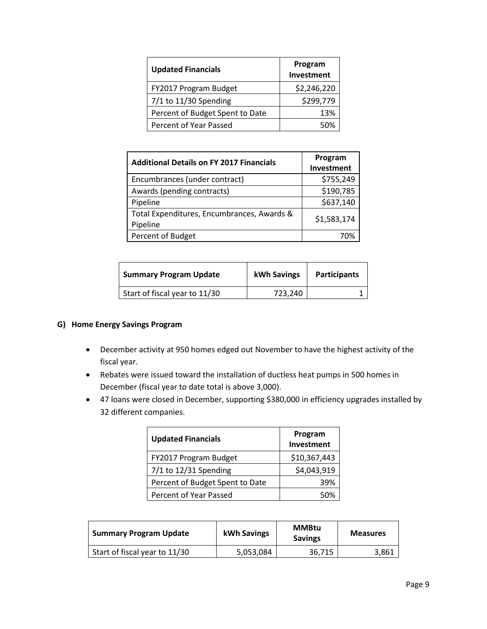| <b>Updated Financials</b>       | Program<br>Investment |
|---------------------------------|-----------------------|
| FY2017 Program Budget           | \$2,246,220           |
| $7/1$ to 11/30 Spending         | \$299,779             |
| Percent of Budget Spent to Date | 13%                   |
| Percent of Year Passed          | 50%                   |

| <b>Additional Details on FY 2017 Financials</b>        | Program     |
|--------------------------------------------------------|-------------|
|                                                        | Investment  |
| Encumbrances (under contract)                          | \$755,249   |
| Awards (pending contracts)                             | \$190,785   |
| Pipeline                                               | \$637,140   |
| Total Expenditures, Encumbrances, Awards &<br>Pipeline | \$1,583,174 |
| Percent of Budget                                      | 70%         |

| <b>Summary Program Update</b> | kWh Savings | <b>Participants</b> |
|-------------------------------|-------------|---------------------|
| Start of fiscal year to 11/30 | 723,240     |                     |

### **G) Home Energy Savings Program**

- December activity at 950 homes edged out November to have the highest activity of the fiscal year.
- Rebates were issued toward the installation of ductless heat pumps in 500 homes in December (fiscal year to date total is above 3,000).
- 47 loans were closed in December, supporting \$380,000 in efficiency upgrades installed by 32 different companies.

| <b>Updated Financials</b>       | Program<br>Investment |
|---------------------------------|-----------------------|
| FY2017 Program Budget           | \$10,367,443          |
| 7/1 to 12/31 Spending           | \$4,043,919           |
| Percent of Budget Spent to Date | 39%                   |
| Percent of Year Passed          | 50%                   |

| <b>Summary Program Update</b> | kWh Savings | <b>MMBtu</b><br><b>Savings</b> | <b>Measures</b> |
|-------------------------------|-------------|--------------------------------|-----------------|
| Start of fiscal year to 11/30 | 5,053,084   | 36,715                         | 3,861           |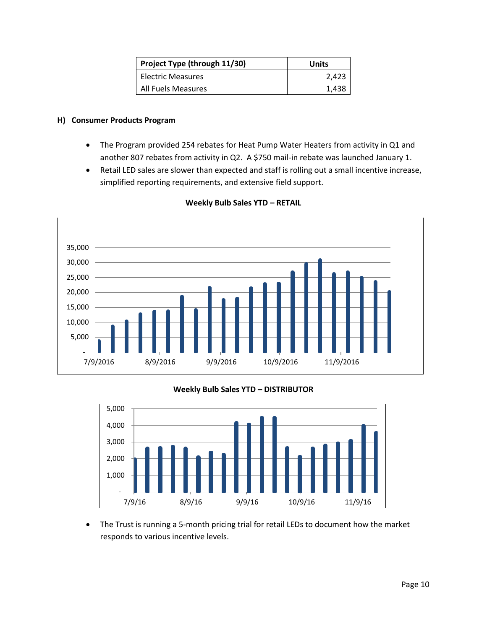| Project Type (through 11/30) | Units |
|------------------------------|-------|
| <b>Electric Measures</b>     | 2.423 |
| <b>All Fuels Measures</b>    | 1,438 |

### **H) Consumer Products Program**

- The Program provided 254 rebates for Heat Pump Water Heaters from activity in Q1 and another 807 rebates from activity in Q2. A \$750 mail-in rebate was launched January 1.
- Retail LED sales are slower than expected and staff is rolling out a small incentive increase, simplified reporting requirements, and extensive field support.



#### **Weekly Bulb Sales YTD – RETAIL**

# **Weekly Bulb Sales YTD – DISTRIBUTOR**



 The Trust is running a 5-month pricing trial for retail LEDs to document how the market responds to various incentive levels.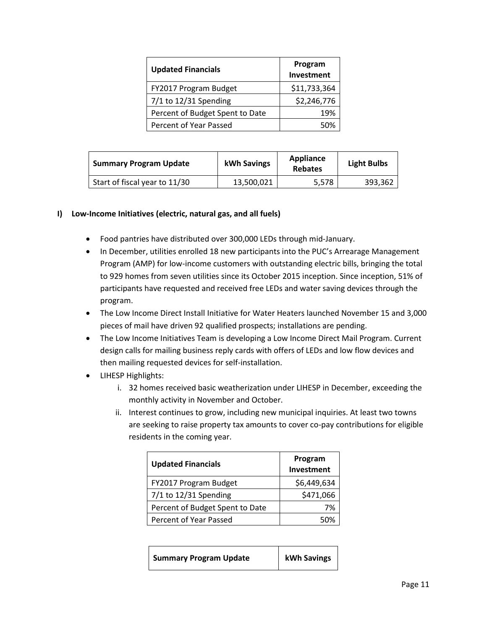| <b>Updated Financials</b>       | Program<br>Investment |
|---------------------------------|-----------------------|
| FY2017 Program Budget           | \$11,733,364          |
| $7/1$ to 12/31 Spending         | \$2,246,776           |
| Percent of Budget Spent to Date | 19%                   |
| Percent of Year Passed          |                       |

| <b>Summary Program Update</b> | kWh Savings | Appliance<br><b>Rebates</b> | <b>Light Bulbs</b> |
|-------------------------------|-------------|-----------------------------|--------------------|
| Start of fiscal year to 11/30 | 13,500,021  | 5,578                       | 393,362            |

#### **I) Low-Income Initiatives (electric, natural gas, and all fuels)**

- Food pantries have distributed over 300,000 LEDs through mid-January.
- In December, utilities enrolled 18 new participants into the PUC's Arrearage Management Program (AMP) for low-income customers with outstanding electric bills, bringing the total to 929 homes from seven utilities since its October 2015 inception. Since inception, 51% of participants have requested and received free LEDs and water saving devices through the program.
- The Low Income Direct Install Initiative for Water Heaters launched November 15 and 3,000 pieces of mail have driven 92 qualified prospects; installations are pending.
- The Low Income Initiatives Team is developing a Low Income Direct Mail Program. Current design calls for mailing business reply cards with offers of LEDs and low flow devices and then mailing requested devices for self-installation.
- LIHESP Highlights:
	- i. 32 homes received basic weatherization under LIHESP in December, exceeding the monthly activity in November and October.
	- ii. Interest continues to grow, including new municipal inquiries. At least two towns are seeking to raise property tax amounts to cover co-pay contributions for eligible residents in the coming year.

| <b>Updated Financials</b>       | Program<br>Investment |
|---------------------------------|-----------------------|
| FY2017 Program Budget           | \$6,449,634           |
| 7/1 to 12/31 Spending           | \$471,066             |
| Percent of Budget Spent to Date | 7%                    |
| Percent of Year Passed          | 50%                   |

| kWh Savings<br><b>Summary Program Update</b> |
|----------------------------------------------|
|----------------------------------------------|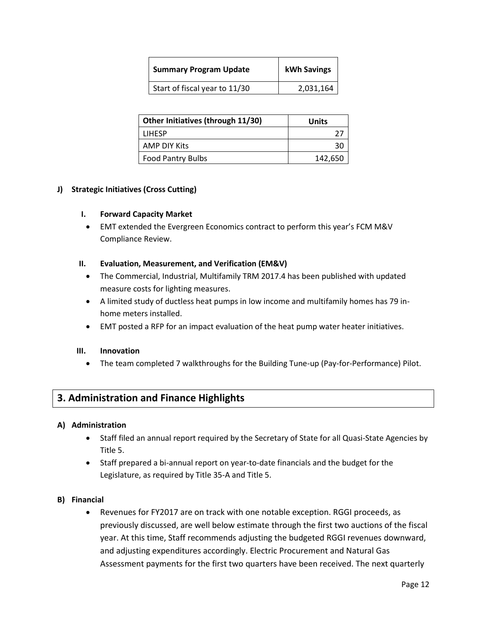| <b>Summary Program Update</b> | kWh Savings |
|-------------------------------|-------------|
| Start of fiscal year to 11/30 | 2,031,164   |

| Other Initiatives (through 11/30) | Units   |
|-----------------------------------|---------|
| <b>LIHESP</b>                     |         |
| AMP DIY Kits                      | 30      |
| <b>Food Pantry Bulbs</b>          | 142,650 |

## **J) Strategic Initiatives (Cross Cutting)**

#### **I. Forward Capacity Market**

 EMT extended the Evergreen Economics contract to perform this year's FCM M&V Compliance Review.

#### **II. Evaluation, Measurement, and Verification (EM&V)**

- The Commercial, Industrial, Multifamily TRM 2017.4 has been published with updated measure costs for lighting measures.
- A limited study of ductless heat pumps in low income and multifamily homes has 79 inhome meters installed.
- EMT posted a RFP for an impact evaluation of the heat pump water heater initiatives.

#### **III. Innovation**

The team completed 7 walkthroughs for the Building Tune-up (Pay-for-Performance) Pilot.

# **3. Administration and Finance Highlights**

#### **A) Administration**

- Staff filed an annual report required by the Secretary of State for all Quasi-State Agencies by Title 5.
- Staff prepared a bi-annual report on year-to-date financials and the budget for the Legislature, as required by Title 35-A and Title 5.

#### **B) Financial**

 Revenues for FY2017 are on track with one notable exception. RGGI proceeds, as previously discussed, are well below estimate through the first two auctions of the fiscal year. At this time, Staff recommends adjusting the budgeted RGGI revenues downward, and adjusting expenditures accordingly. Electric Procurement and Natural Gas Assessment payments for the first two quarters have been received. The next quarterly